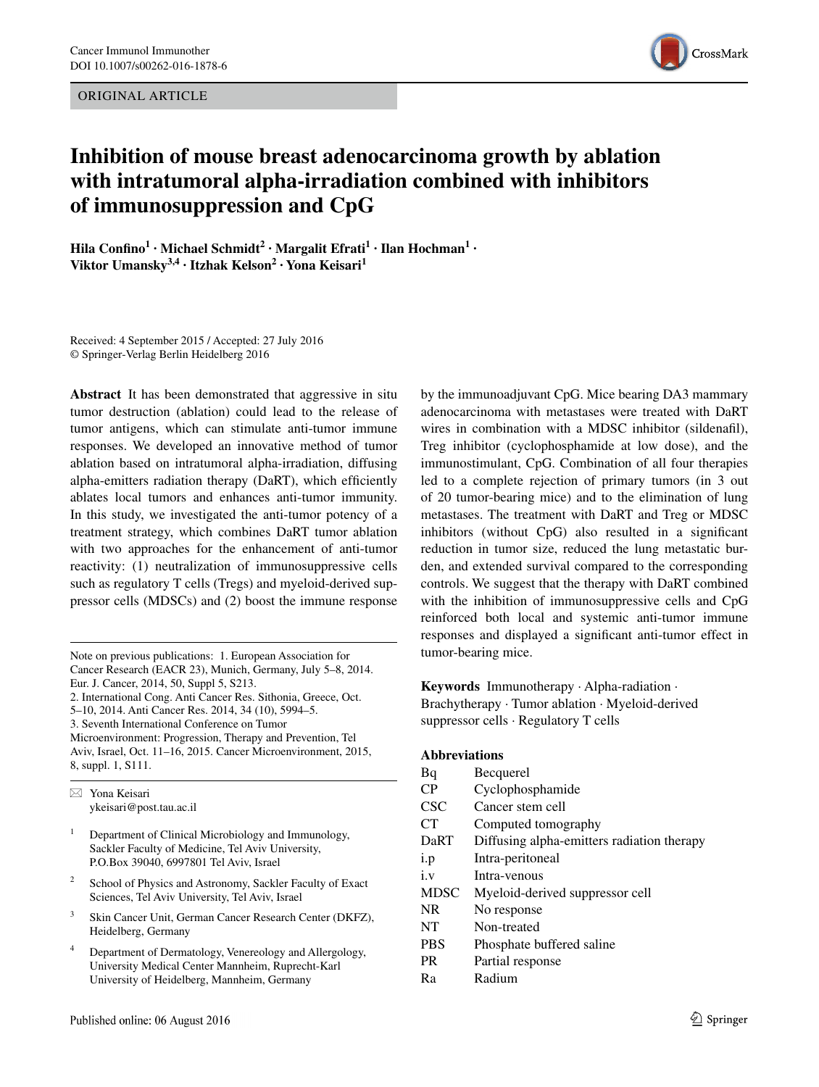ORIGINAL ARTICLE



# **Inhibition of mouse breast adenocarcinoma growth by ablation with intratumoral alpha‑irradiation combined with inhibitors of immunosuppression and CpG**

**Hila Confino1 · Michael Schmidt2 · Margalit Efrati1 · Ilan Hochman1 · Viktor Umansky3,4 · Itzhak Kelson2 · Yona Keisari1**

Received: 4 September 2015 / Accepted: 27 July 2016 © Springer-Verlag Berlin Heidelberg 2016

**Abstract** It has been demonstrated that aggressive in situ tumor destruction (ablation) could lead to the release of tumor antigens, which can stimulate anti-tumor immune responses. We developed an innovative method of tumor ablation based on intratumoral alpha-irradiation, diffusing alpha-emitters radiation therapy (DaRT), which efficiently ablates local tumors and enhances anti-tumor immunity. In this study, we investigated the anti-tumor potency of a treatment strategy, which combines DaRT tumor ablation with two approaches for the enhancement of anti-tumor reactivity: (1) neutralization of immunosuppressive cells such as regulatory T cells (Tregs) and myeloid-derived suppressor cells (MDSCs) and (2) boost the immune response

Note on previous publications: 1. European Association for Cancer Research (EACR 23), Munich, Germany, July 5–8, 2014. Eur. J. Cancer, 2014, 50, Suppl 5, S213. 2. International Cong. Anti Cancer Res. Sithonia, Greece, Oct. 5–10, 2014. Anti Cancer Res. 2014, 34 (10), 5994–5.

3. Seventh International Conference on Tumor

Microenvironment: Progression, Therapy and Prevention, Tel Aviv, Israel, Oct. 11–16, 2015. Cancer Microenvironment, 2015, 8, suppl. 1, S111.

 $\boxtimes$  Yona Keisari ykeisari@post.tau.ac.il

- <sup>1</sup> Department of Clinical Microbiology and Immunology, Sackler Faculty of Medicine, Tel Aviv University, P.O.Box 39040, 6997801 Tel Aviv, Israel
- School of Physics and Astronomy, Sackler Faculty of Exact Sciences, Tel Aviv University, Tel Aviv, Israel
- <sup>3</sup> Skin Cancer Unit, German Cancer Research Center (DKFZ), Heidelberg, Germany
- <sup>4</sup> Department of Dermatology, Venereology and Allergology, University Medical Center Mannheim, Ruprecht-Karl University of Heidelberg, Mannheim, Germany

by the immunoadjuvant CpG. Mice bearing DA3 mammary adenocarcinoma with metastases were treated with DaRT wires in combination with a MDSC inhibitor (sildenafil), Treg inhibitor (cyclophosphamide at low dose), and the immunostimulant, CpG. Combination of all four therapies led to a complete rejection of primary tumors (in 3 out of 20 tumor-bearing mice) and to the elimination of lung metastases. The treatment with DaRT and Treg or MDSC inhibitors (without CpG) also resulted in a significant reduction in tumor size, reduced the lung metastatic burden, and extended survival compared to the corresponding controls. We suggest that the therapy with DaRT combined with the inhibition of immunosuppressive cells and CpG reinforced both local and systemic anti-tumor immune responses and displayed a significant anti-tumor effect in tumor-bearing mice.

**Keywords** Immunotherapy · Alpha-radiation · Brachytherapy · Tumor ablation · Myeloid-derived suppressor cells · Regulatory T cells

#### **Abbreviations**

Bq Becquerel CP Cyclophosphamide CSC Cancer stem cell CT Computed tomography DaRT Diffusing alpha-emitters radiation therapy i.p Intra-peritoneal i.v Intra-venous MDSC Myeloid-derived suppressor cell NR No response NT Non-treated PBS Phosphate buffered saline PR Partial response Ra Radium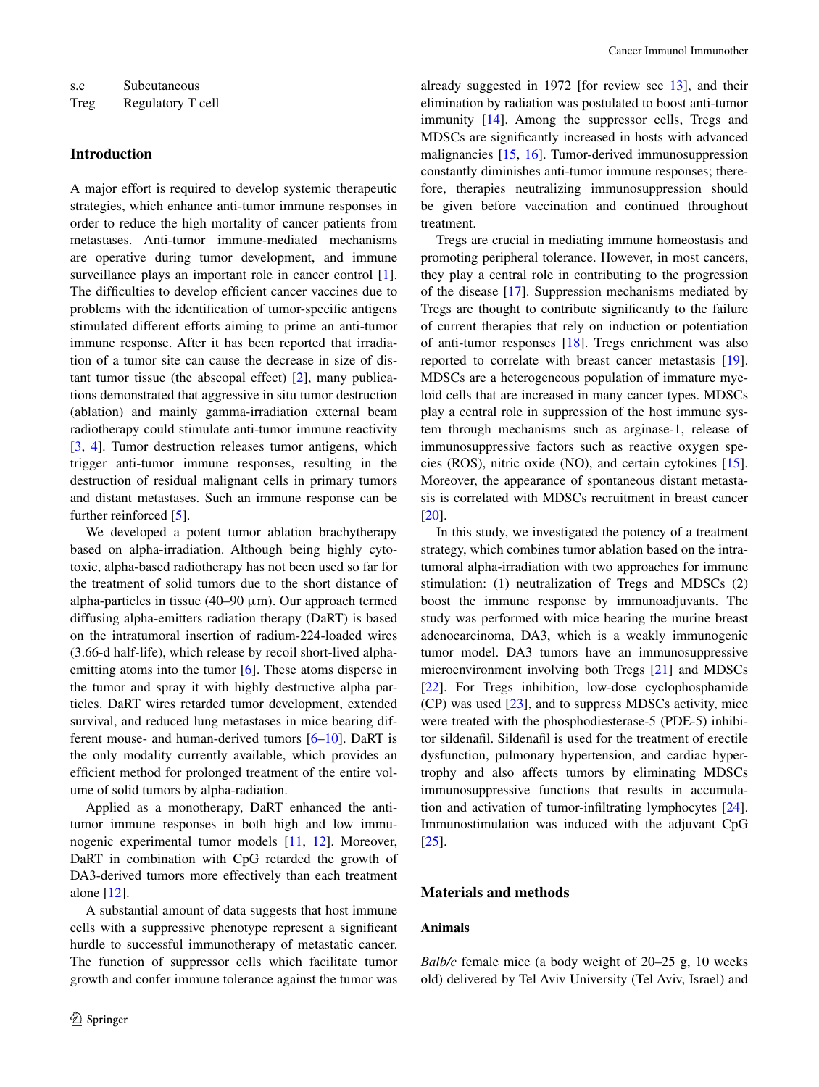Treg Regulatory T cell

#### **Introduction**

A major effort is required to develop systemic therapeutic strategies, which enhance anti-tumor immune responses in order to reduce the high mortality of cancer patients from metastases. Anti-tumor immune-mediated mechanisms are operative during tumor development, and immune surveillance plays an important role in cancer control [\[1](#page-8-0)]. The difficulties to develop efficient cancer vaccines due to problems with the identification of tumor-specific antigens stimulated different efforts aiming to prime an anti-tumor immune response. After it has been reported that irradiation of a tumor site can cause the decrease in size of distant tumor tissue (the abscopal effect) [[2\]](#page-8-1), many publications demonstrated that aggressive in situ tumor destruction (ablation) and mainly gamma-irradiation external beam radiotherapy could stimulate anti-tumor immune reactivity [\[3](#page-8-2), [4](#page-8-3)]. Tumor destruction releases tumor antigens, which trigger anti-tumor immune responses, resulting in the destruction of residual malignant cells in primary tumors and distant metastases. Such an immune response can be further reinforced [[5\]](#page-8-4).

We developed a potent tumor ablation brachytherapy based on alpha-irradiation. Although being highly cytotoxic, alpha-based radiotherapy has not been used so far for the treatment of solid tumors due to the short distance of alpha-particles in tissue (40–90  $\mu$ m). Our approach termed diffusing alpha-emitters radiation therapy (DaRT) is based on the intratumoral insertion of radium-224-loaded wires (3.66-d half-life), which release by recoil short-lived alpha-emitting atoms into the tumor [\[6](#page-8-5)]. These atoms disperse in the tumor and spray it with highly destructive alpha particles. DaRT wires retarded tumor development, extended survival, and reduced lung metastases in mice bearing different mouse- and human-derived tumors [\[6](#page-8-5)[–10](#page-8-6)]. DaRT is the only modality currently available, which provides an efficient method for prolonged treatment of the entire volume of solid tumors by alpha-radiation.

Applied as a monotherapy, DaRT enhanced the antitumor immune responses in both high and low immunogenic experimental tumor models [\[11](#page-8-7), [12](#page-8-8)]. Moreover, DaRT in combination with CpG retarded the growth of DA3-derived tumors more effectively than each treatment alone [[12\]](#page-8-8).

A substantial amount of data suggests that host immune cells with a suppressive phenotype represent a significant hurdle to successful immunotherapy of metastatic cancer. The function of suppressor cells which facilitate tumor growth and confer immune tolerance against the tumor was already suggested in 1972 [for review see [13](#page-8-9)], and their elimination by radiation was postulated to boost anti-tumor immunity [[14\]](#page-8-10). Among the suppressor cells, Tregs and MDSCs are significantly increased in hosts with advanced malignancies [[15,](#page-8-11) [16\]](#page-8-12). Tumor-derived immunosuppression constantly diminishes anti-tumor immune responses; therefore, therapies neutralizing immunosuppression should be given before vaccination and continued throughout treatment.

Tregs are crucial in mediating immune homeostasis and promoting peripheral tolerance. However, in most cancers, they play a central role in contributing to the progression of the disease [\[17](#page-8-13)]. Suppression mechanisms mediated by Tregs are thought to contribute significantly to the failure of current therapies that rely on induction or potentiation of anti-tumor responses [\[18](#page-8-14)]. Tregs enrichment was also reported to correlate with breast cancer metastasis [\[19](#page-8-15)]. MDSCs are a heterogeneous population of immature myeloid cells that are increased in many cancer types. MDSCs play a central role in suppression of the host immune system through mechanisms such as arginase-1, release of immunosuppressive factors such as reactive oxygen species (ROS), nitric oxide (NO), and certain cytokines [\[15](#page-8-11)]. Moreover, the appearance of spontaneous distant metastasis is correlated with MDSCs recruitment in breast cancer [\[20](#page-8-16)].

In this study, we investigated the potency of a treatment strategy, which combines tumor ablation based on the intratumoral alpha-irradiation with two approaches for immune stimulation: (1) neutralization of Tregs and MDSCs (2) boost the immune response by immunoadjuvants. The study was performed with mice bearing the murine breast adenocarcinoma, DA3, which is a weakly immunogenic tumor model. DA3 tumors have an immunosuppressive microenvironment involving both Tregs [\[21](#page-8-17)] and MDSCs [\[22](#page-8-18)]. For Tregs inhibition, low-dose cyclophosphamide (CP) was used [[23\]](#page-8-19), and to suppress MDSCs activity, mice were treated with the phosphodiesterase-5 (PDE-5) inhibitor sildenafil. Sildenafil is used for the treatment of erectile dysfunction, pulmonary hypertension, and cardiac hypertrophy and also affects tumors by eliminating MDSCs immunosuppressive functions that results in accumulation and activation of tumor-infiltrating lymphocytes [\[24](#page-8-20)]. Immunostimulation was induced with the adjuvant CpG [\[25](#page-8-21)].

#### **Materials and methods**

### **Animals**

*Balb/c* female mice (a body weight of 20–25 g, 10 weeks old) delivered by Tel Aviv University (Tel Aviv, Israel) and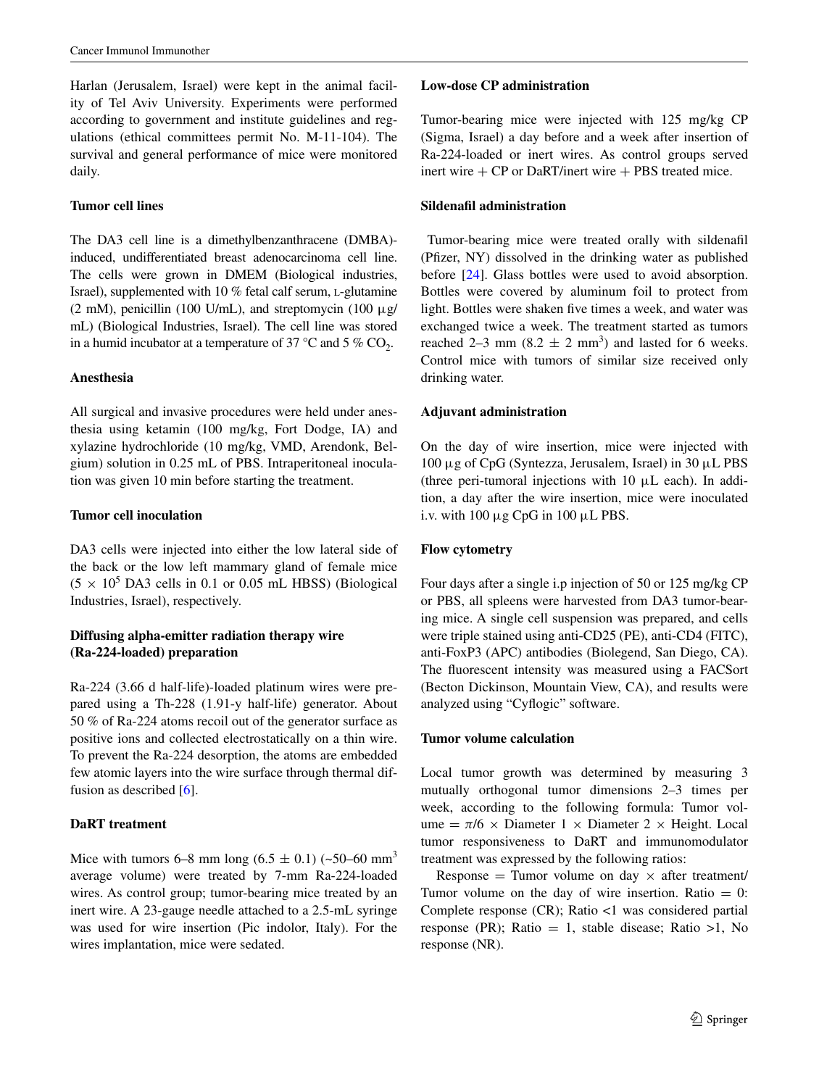Harlan (Jerusalem, Israel) were kept in the animal facility of Tel Aviv University. Experiments were performed according to government and institute guidelines and regulations (ethical committees permit No. M-11-104). The survival and general performance of mice were monitored daily.

#### **Tumor cell lines**

The DA3 cell line is a dimethylbenzanthracene (DMBA) induced, undifferentiated breast adenocarcinoma cell line. The cells were grown in DMEM (Biological industries, Israel), supplemented with  $10\%$  fetal calf serum, L-glutamine (2 mM), penicillin (100 U/mL), and streptomycin (100  $\mu$ g/ mL) (Biological Industries, Israel). The cell line was stored in a humid incubator at a temperature of 37 °C and 5 % CO<sub>2</sub>.

#### **Anesthesia**

All surgical and invasive procedures were held under anesthesia using ketamin (100 mg/kg, Fort Dodge, IA) and xylazine hydrochloride (10 mg/kg, VMD, Arendonk, Belgium) solution in 0.25 mL of PBS. Intraperitoneal inoculation was given 10 min before starting the treatment.

#### **Tumor cell inoculation**

DA3 cells were injected into either the low lateral side of the back or the low left mammary gland of female mice  $(5 \times 10^5 \text{ DA3}$  cells in 0.1 or 0.05 mL HBSS) (Biological Industries, Israel), respectively.

# **Diffusing alpha‑emitter radiation therapy wire (Ra‑224‑loaded) preparation**

Ra-224 (3.66 d half-life)-loaded platinum wires were prepared using a Th-228 (1.91-y half-life) generator. About 50 % of Ra-224 atoms recoil out of the generator surface as positive ions and collected electrostatically on a thin wire. To prevent the Ra-224 desorption, the atoms are embedded few atomic layers into the wire surface through thermal diffusion as described [[6\]](#page-8-5).

# **DaRT treatment**

Mice with tumors 6–8 mm long  $(6.5 \pm 0.1)$  (~50–60 mm<sup>3</sup>) average volume) were treated by 7-mm Ra-224-loaded wires. As control group; tumor-bearing mice treated by an inert wire. A 23-gauge needle attached to a 2.5-mL syringe was used for wire insertion (Pic indolor, Italy). For the wires implantation, mice were sedated.

#### **Low‑dose CP administration**

Tumor-bearing mice were injected with 125 mg/kg CP (Sigma, Israel) a day before and a week after insertion of Ra-224-loaded or inert wires. As control groups served inert wire  $+$  CP or DaRT/inert wire  $+$  PBS treated mice.

### **Sildenafil administration**

 Tumor-bearing mice were treated orally with sildenafil (Pfizer, NY) dissolved in the drinking water as published before [\[24](#page-8-20)]. Glass bottles were used to avoid absorption. Bottles were covered by aluminum foil to protect from light. Bottles were shaken five times a week, and water was exchanged twice a week. The treatment started as tumors reached 2–3 mm  $(8.2 \pm 2 \text{ mm}^3)$  and lasted for 6 weeks. Control mice with tumors of similar size received only drinking water.

#### **Adjuvant administration**

On the day of wire insertion, mice were injected with 100 μg of CpG (Syntezza, Jerusalem, Israel) in 30 μL PBS (three peri-tumoral injections with 10 μL each). In addition, a day after the wire insertion, mice were inoculated i.v. with  $100 \mu g$  CpG in  $100 \mu L$  PBS.

### **Flow cytometry**

Four days after a single i.p injection of 50 or 125 mg/kg CP or PBS, all spleens were harvested from DA3 tumor-bearing mice. A single cell suspension was prepared, and cells were triple stained using anti-CD25 (PE), anti-CD4 (FITC), anti-FoxP3 (APC) antibodies (Biolegend, San Diego, CA). The fluorescent intensity was measured using a FACSort (Becton Dickinson, Mountain View, CA), and results were analyzed using "Cyflogic" software.

# **Tumor volume calculation**

Local tumor growth was determined by measuring 3 mutually orthogonal tumor dimensions 2–3 times per week, according to the following formula: Tumor volume =  $\pi/6 \times$  Diameter 1  $\times$  Diameter 2  $\times$  Height. Local tumor responsiveness to DaRT and immunomodulator treatment was expressed by the following ratios:

Response = Tumor volume on day  $\times$  after treatment/ Tumor volume on the day of wire insertion. Ratio  $= 0$ : Complete response (CR); Ratio <1 was considered partial response (PR); Ratio = 1, stable disease; Ratio >1, No response (NR).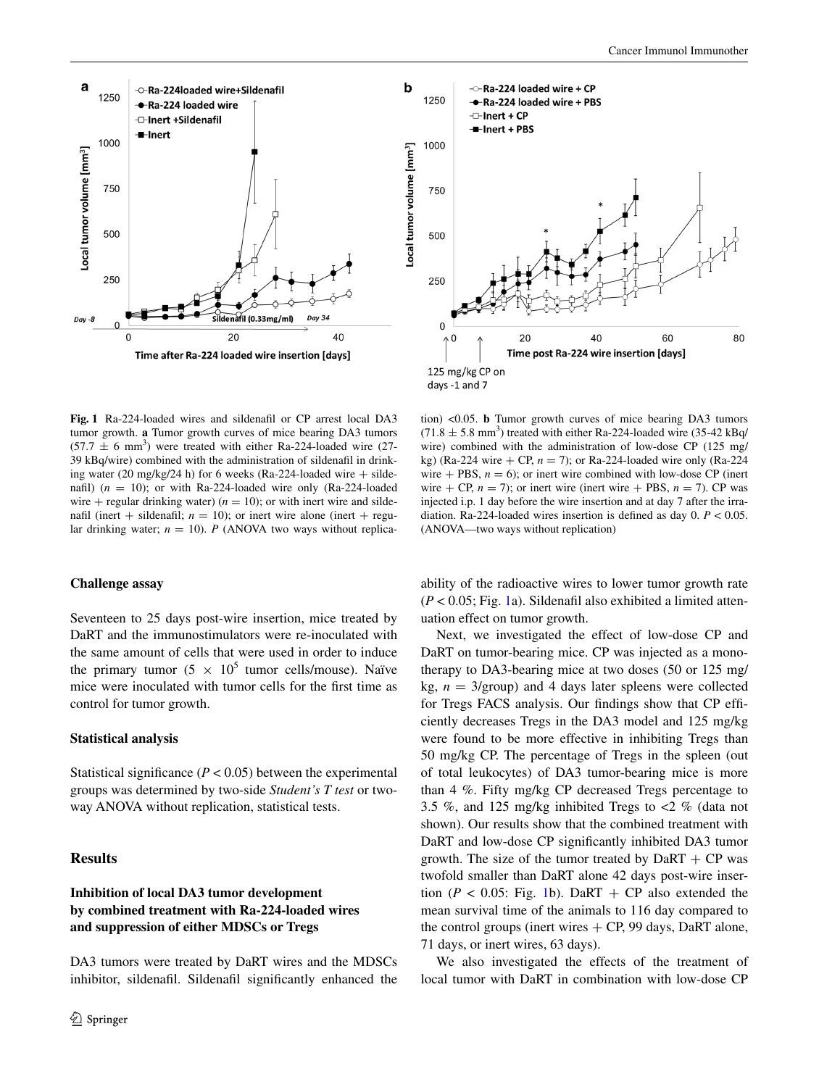

<span id="page-3-0"></span>**Fig. 1** Ra-224-loaded wires and sildenafil or CP arrest local DA3 tumor growth. **a** Tumor growth curves of mice bearing DA3 tumors  $(57.7 \pm 6 \text{ mm}^3)$  were treated with either Ra-224-loaded wire (27-39 kBq/wire) combined with the administration of sildenafil in drinking water (20 mg/kg/24 h) for 6 weeks (Ra-224-loaded wire  $+$  sildenafil)  $(n = 10)$ ; or with Ra-224-loaded wire only (Ra-224-loaded wire + regular drinking water)  $(n = 10)$ ; or with inert wire and sildenafil (inert  $+$  sildenafil;  $n = 10$ ); or inert wire alone (inert  $+$  regular drinking water;  $n = 10$ ). *P* (ANOVA two ways without replica-

#### **Challenge assay**

Seventeen to 25 days post-wire insertion, mice treated by DaRT and the immunostimulators were re-inoculated with the same amount of cells that were used in order to induce the primary tumor  $(5 \times 10^5 \text{ tumor cells/mouse})$ . Naïve mice were inoculated with tumor cells for the first time as control for tumor growth.

#### **Statistical analysis**

Statistical significance  $(P < 0.05)$  between the experimental groups was determined by two-side *Student's T test* or twoway ANOVA without replication, statistical tests.

#### **Results**

# **Inhibition of local DA3 tumor development by combined treatment with Ra‑224‑loaded wires and suppression of either MDSCs or Tregs**

DA3 tumors were treated by DaRT wires and the MDSCs inhibitor, sildenafil. Sildenafil significantly enhanced the



tion) <0.05. **b** Tumor growth curves of mice bearing DA3 tumors  $(71.8 \pm 5.8 \text{ mm}^3)$  treated with either Ra-224-loaded wire  $(35-42 \text{ kBq/m})$ wire) combined with the administration of low-dose CP (125 mg/ kg) (Ra-224 wire  $+$  CP,  $n = 7$ ); or Ra-224-loaded wire only (Ra-224) wire  $+$  PBS,  $n = 6$ ); or inert wire combined with low-dose CP (inert wire + CP,  $n = 7$ ); or inert wire (inert wire + PBS,  $n = 7$ ). CP was injected i.p. 1 day before the wire insertion and at day 7 after the irradiation. Ra-224-loaded wires insertion is defined as day 0. *P* < 0.05. (ANOVA—two ways without replication)

ability of the radioactive wires to lower tumor growth rate  $(P < 0.05$ ; Fig. [1](#page-3-0)a). Sildenafil also exhibited a limited attenuation effect on tumor growth.

Next, we investigated the effect of low-dose CP and DaRT on tumor-bearing mice. CP was injected as a monotherapy to DA3-bearing mice at two doses (50 or 125 mg/ kg,  $n = 3$ /group) and 4 days later spleens were collected for Tregs FACS analysis. Our findings show that CP efficiently decreases Tregs in the DA3 model and 125 mg/kg were found to be more effective in inhibiting Tregs than 50 mg/kg CP. The percentage of Tregs in the spleen (out of total leukocytes) of DA3 tumor-bearing mice is more than 4 %. Fifty mg/kg CP decreased Tregs percentage to 3.5 %, and 125 mg/kg inhibited Tregs to <2 % (data not shown). Our results show that the combined treatment with DaRT and low-dose CP significantly inhibited DA3 tumor growth. The size of the tumor treated by  $DaRT + CP$  was twofold smaller than DaRT alone 42 days post-wire insertion ( $P < 0.05$ : Fig. [1](#page-3-0)b). DaRT + CP also extended the mean survival time of the animals to 116 day compared to the control groups (inert wires  $+$  CP, 99 days, DaRT alone, 71 days, or inert wires, 63 days).

We also investigated the effects of the treatment of local tumor with DaRT in combination with low-dose CP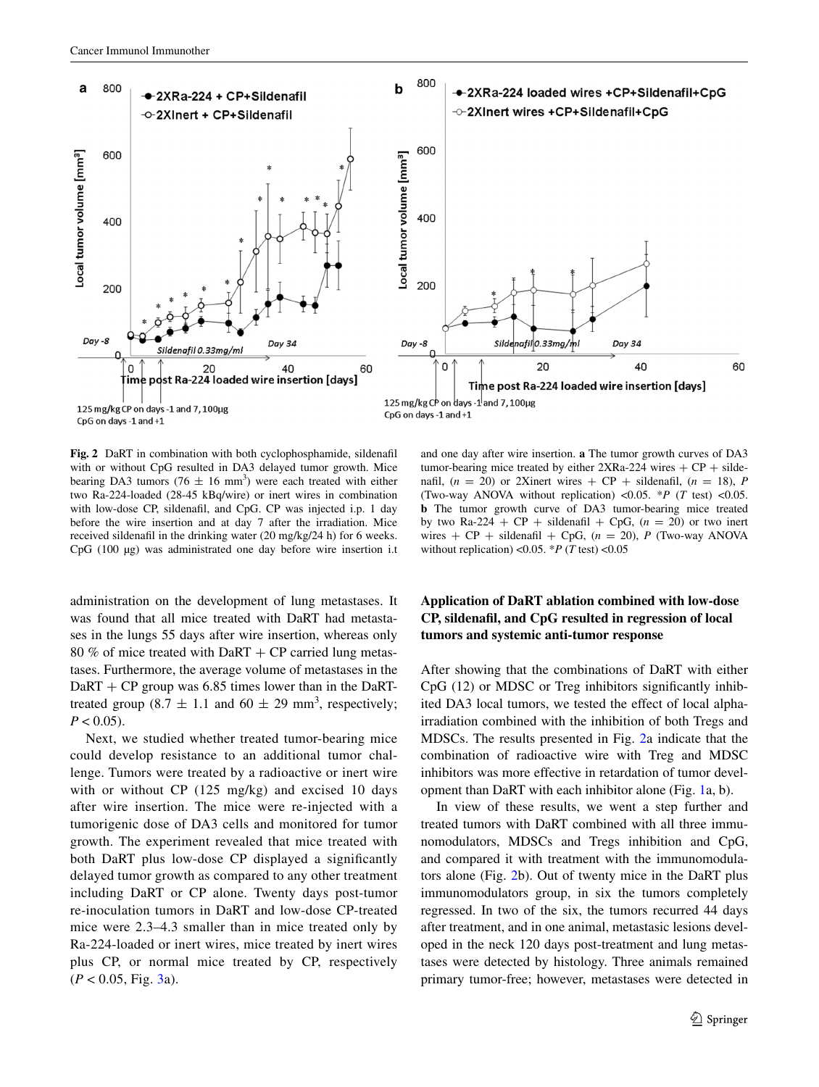

<span id="page-4-0"></span>**Fig. 2** DaRT in combination with both cyclophosphamide, sildenafil with or without CpG resulted in DA3 delayed tumor growth. Mice bearing DA3 tumors (76  $\pm$  16 mm<sup>3</sup>) were each treated with either two Ra-224-loaded (28-45 kBq/wire) or inert wires in combination with low-dose CP, sildenafil, and CpG. CP was injected i.p. 1 day before the wire insertion and at day 7 after the irradiation. Mice received sildenafil in the drinking water (20 mg/kg/24 h) for 6 weeks. CpG (100 µg) was administrated one day before wire insertion i.t

administration on the development of lung metastases. It was found that all mice treated with DaRT had metastases in the lungs 55 days after wire insertion, whereas only 80 % of mice treated with DaRT + CP carried lung metastases. Furthermore, the average volume of metastases in the  $DaRT + CP$  group was 6.85 times lower than in the DaRTtreated group  $(8.7 \pm 1.1 \text{ and } 60 \pm 29 \text{ mm}^3)$ , respectively;  $P < 0.05$ ).

Next, we studied whether treated tumor-bearing mice could develop resistance to an additional tumor challenge. Tumors were treated by a radioactive or inert wire with or without CP (125 mg/kg) and excised 10 days after wire insertion. The mice were re-injected with a tumorigenic dose of DA3 cells and monitored for tumor growth. The experiment revealed that mice treated with both DaRT plus low-dose CP displayed a significantly delayed tumor growth as compared to any other treatment including DaRT or CP alone. Twenty days post-tumor re-inoculation tumors in DaRT and low-dose CP-treated mice were 2.3–4.3 smaller than in mice treated only by Ra-224-loaded or inert wires, mice treated by inert wires plus CP, or normal mice treated by CP, respectively  $(P < 0.05, Fig. 3a)$  $(P < 0.05, Fig. 3a)$  $(P < 0.05, Fig. 3a)$ .

and one day after wire insertion. **a** The tumor growth curves of DA3 tumor-bearing mice treated by either  $2XRa-224$  wires  $+ CP + silde$ nafil,  $(n = 20)$  or 2Xinert wires  $+ CP +$  sildenafil,  $(n = 18)$ , *P* (Two-way ANOVA without replication) <0.05. \**P* (*T* test) <0.05. **b** The tumor growth curve of DA3 tumor-bearing mice treated by two Ra-224 +  $CP$  + sildenafil +  $CpG$ ,  $(n = 20)$  or two inert wires  $+ CP$  + sildenafil  $+ CpG$ ,  $(n = 20)$ , *P* (Two-way ANOVA) without replication) <0.05.  $*P$  (*T* test) <0.05

# **Application of DaRT ablation combined with low‑dose CP, sildenafil, and CpG resulted in regression of local tumors and systemic anti‑tumor response**

After showing that the combinations of DaRT with either CpG (12) or MDSC or Treg inhibitors significantly inhibited DA3 local tumors, we tested the effect of local alphairradiation combined with the inhibition of both Tregs and MDSCs. The results presented in Fig. [2](#page-4-0)a indicate that the combination of radioactive wire with Treg and MDSC inhibitors was more effective in retardation of tumor development than DaRT with each inhibitor alone (Fig. [1a](#page-3-0), b).

In view of these results, we went a step further and treated tumors with DaRT combined with all three immunomodulators, MDSCs and Tregs inhibition and CpG, and compared it with treatment with the immunomodulators alone (Fig. [2b](#page-4-0)). Out of twenty mice in the DaRT plus immunomodulators group, in six the tumors completely regressed. In two of the six, the tumors recurred 44 days after treatment, and in one animal, metastasic lesions developed in the neck 120 days post-treatment and lung metastases were detected by histology. Three animals remained primary tumor-free; however, metastases were detected in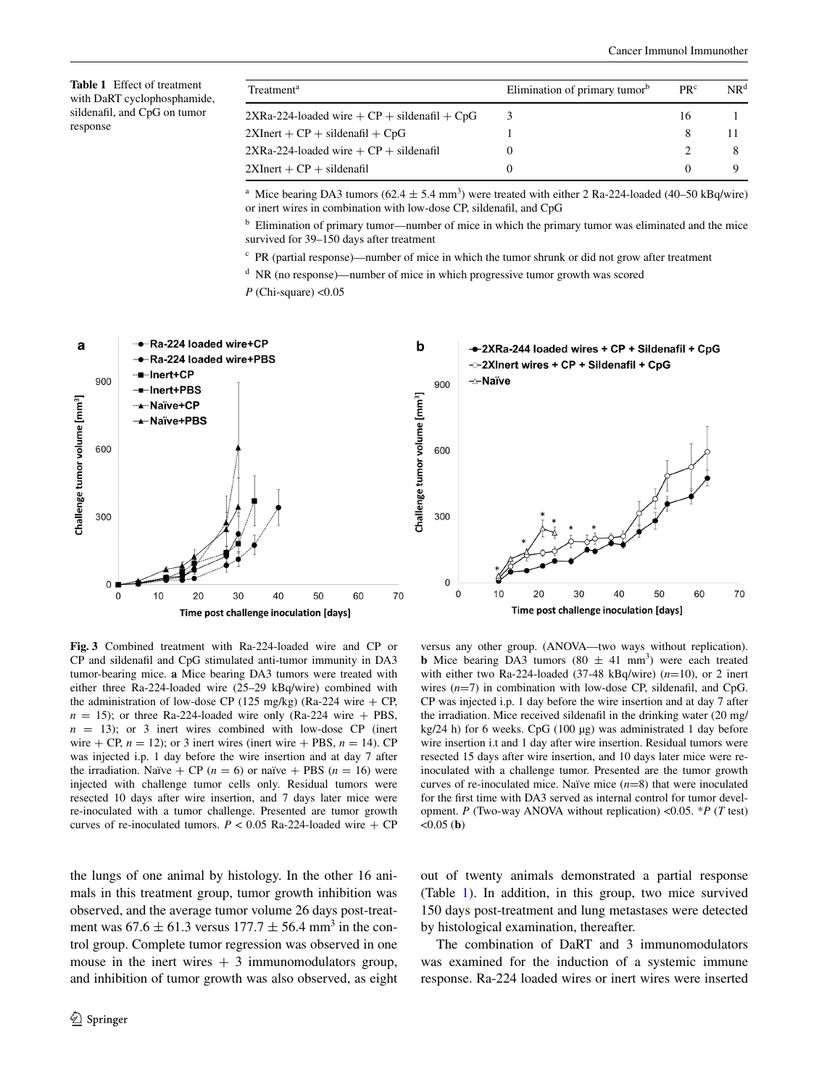<span id="page-5-1"></span>**Table 1** Effect of treatment with DaRT cyclophosphamide, sildenafil, and CpG on tumor response

| Treatment <sup>a</sup>                              | Elimination of primary tumor <sup>b</sup> | PR <sup>c</sup> | NR <sup>d</sup> |
|-----------------------------------------------------|-------------------------------------------|-----------------|-----------------|
| $2XRa-224$ -loaded wire $+ CP +$ sildenafil $+ CpG$ |                                           | 16              |                 |
| $2XInert + CP + sildenafil + CpG$                   |                                           | 8               |                 |
| $2XRa-224$ -loaded wire $+ CP +$ sildenafil         |                                           |                 |                 |
| $2XInert + CP + sildenafil$                         |                                           | $\theta$        |                 |
|                                                     |                                           |                 |                 |

<sup>a</sup> Mice bearing DA3 tumors ( $62.4 \pm 5.4$  mm<sup>3</sup>) were treated with either 2 Ra-224-loaded (40–50 kBq/wire) or inert wires in combination with low-dose CP, sildenafil, and CpG

<sup>b</sup> Elimination of primary tumor—number of mice in which the primary tumor was eliminated and the mice survived for 39–150 days after treatment

<sup>c</sup> PR (partial response)—number of mice in which the tumor shrunk or did not grow after treatment

<sup>d</sup> NR (no response)—number of mice in which progressive tumor growth was scored

*P* (Chi-square) <0.05



<span id="page-5-0"></span>**Fig. 3** Combined treatment with Ra-224-loaded wire and CP or CP and sildenafil and CpG stimulated anti-tumor immunity in DA3 tumor-bearing mice. **a** Mice bearing DA3 tumors were treated with either three Ra-224-loaded wire (25–29 kBq/wire) combined with the administration of low-dose CP (125 mg/kg) (Ra-224 wire  $+$  CP,  $n = 15$ ); or three Ra-224-loaded wire only (Ra-224 wire + PBS,  $n = 13$ ); or 3 inert wires combined with low-dose CP (inert wire  $+$  CP,  $n = 12$ ); or 3 inert wires (inert wire  $+$  PBS,  $n = 14$ ). CP was injected i.p. 1 day before the wire insertion and at day 7 after the irradiation. Naïve  $+$  CP ( $n = 6$ ) or naïve  $+$  PBS ( $n = 16$ ) were injected with challenge tumor cells only. Residual tumors were resected 10 days after wire insertion, and 7 days later mice were re-inoculated with a tumor challenge. Presented are tumor growth curves of re-inoculated tumors.  $P < 0.05$  Ra-224-loaded wire + CP

**b** Mice bearing DA3 tumors (80  $\pm$  41 mm<sup>3</sup>) were each treated with either two Ra-224-loaded (37-48 kBq/wire) (*n*=10), or 2 inert wires (*n*=7) in combination with low-dose CP, sildenafil, and CpG. CP was injected i.p. 1 day before the wire insertion and at day 7 after the irradiation. Mice received sildenafil in the drinking water (20 mg/ kg/24 h) for 6 weeks. CpG (100 µg) was administrated 1 day before wire insertion i.t and 1 day after wire insertion. Residual tumors were resected 15 days after wire insertion, and 10 days later mice were reinoculated with a challenge tumor. Presented are the tumor growth curves of re-inoculated mice. Naïve mice (*n*=8) that were inoculated for the first time with DA3 served as internal control for tumor development. *P* (Two-way ANOVA without replication) <0.05. \**P* (*T* test)  $<0.05$  (**b**)

versus any other group. (ANOVA—two ways without replication).

the lungs of one animal by histology. In the other 16 animals in this treatment group, tumor growth inhibition was observed, and the average tumor volume 26 days post-treatment was  $67.6 \pm 61.3$  versus  $177.7 \pm 56.4$  mm<sup>3</sup> in the control group. Complete tumor regression was observed in one mouse in the inert wires  $+3$  immunomodulators group, and inhibition of tumor growth was also observed, as eight out of twenty animals demonstrated a partial response (Table [1](#page-5-1)). In addition, in this group, two mice survived 150 days post-treatment and lung metastases were detected by histological examination, thereafter.

The combination of DaRT and 3 immunomodulators was examined for the induction of a systemic immune response. Ra-224 loaded wires or inert wires were inserted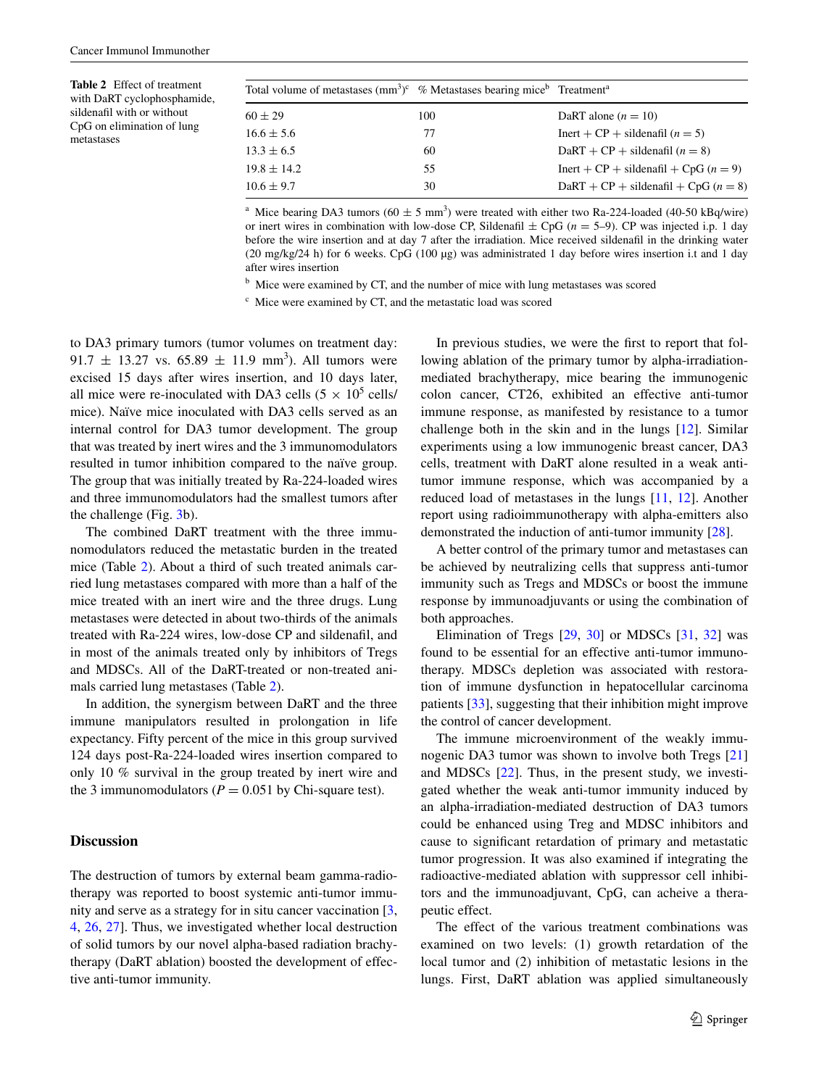<span id="page-6-0"></span>**Table 2** Effect of treatment with DaRT cyclophosphamide, sildenafil with or without CpG on elimination of lung metastases

| Total volume of metastases $\text{(mm}^3)^c$ % Metastases bearing mice <sup>b</sup> Treatment <sup>a</sup> |     |                                           |
|------------------------------------------------------------------------------------------------------------|-----|-------------------------------------------|
| $60 \pm 29$                                                                                                | 100 | DaRT alone $(n = 10)$                     |
| $16.6 \pm 5.6$                                                                                             | 77  | Inert + $CP$ + sildenafil $(n = 5)$       |
| $13.3 \pm 6.5$                                                                                             | 60  | DaRT + CP + sildenafil $(n = 8)$          |
| $19.8 \pm 14.2$                                                                                            | 55  | Inert + $CP$ + sildenafil + $CpG (n = 9)$ |
| $10.6 \pm 9.7$                                                                                             | 30  | $DaRT + CP + sildenafil + CpG (n = 8)$    |

<sup>a</sup> Mice bearing DA3 tumors ( $60 \pm 5$  mm<sup>3</sup>) were treated with either two Ra-224-loaded (40-50 kBq/wire) or inert wires in combination with low-dose CP, Sildenafil  $\pm$  CpG ( $n = 5-9$ ). CP was injected i.p. 1 day before the wire insertion and at day 7 after the irradiation. Mice received sildenafil in the drinking water (20 mg/kg/24 h) for 6 weeks. CpG (100 µg) was administrated 1 day before wires insertion i.t and 1 day after wires insertion

<sup>b</sup> Mice were examined by CT, and the number of mice with lung metastases was scored

<sup>c</sup> Mice were examined by CT, and the metastatic load was scored

to DA3 primary tumors (tumor volumes on treatment day:  $91.7 \pm 13.27$  vs.  $65.89 \pm 11.9$  mm<sup>3</sup>). All tumors were excised 15 days after wires insertion, and 10 days later, all mice were re-inoculated with DA3 cells  $(5 \times 10^5 \text{ cells})$ mice). Naïve mice inoculated with DA3 cells served as an internal control for DA3 tumor development. The group that was treated by inert wires and the 3 immunomodulators resulted in tumor inhibition compared to the naïve group. The group that was initially treated by Ra-224-loaded wires and three immunomodulators had the smallest tumors after the challenge (Fig. [3](#page-5-0)b).

The combined DaRT treatment with the three immunomodulators reduced the metastatic burden in the treated mice (Table [2\)](#page-6-0). About a third of such treated animals carried lung metastases compared with more than a half of the mice treated with an inert wire and the three drugs. Lung metastases were detected in about two-thirds of the animals treated with Ra-224 wires, low-dose CP and sildenafil, and in most of the animals treated only by inhibitors of Tregs and MDSCs. All of the DaRT-treated or non-treated animals carried lung metastases (Table [2](#page-6-0)).

In addition, the synergism between DaRT and the three immune manipulators resulted in prolongation in life expectancy. Fifty percent of the mice in this group survived 124 days post-Ra-224-loaded wires insertion compared to only 10 % survival in the group treated by inert wire and the 3 immunomodulators ( $P = 0.051$  by Chi-square test).

#### **Discussion**

The destruction of tumors by external beam gamma-radiotherapy was reported to boost systemic anti-tumor immunity and serve as a strategy for in situ cancer vaccination [[3,](#page-8-2) [4](#page-8-3), [26,](#page-8-22) [27](#page-8-23)]. Thus, we investigated whether local destruction of solid tumors by our novel alpha-based radiation brachytherapy (DaRT ablation) boosted the development of effective anti-tumor immunity.

In previous studies, we were the first to report that following ablation of the primary tumor by alpha-irradiationmediated brachytherapy, mice bearing the immunogenic colon cancer, CT26, exhibited an effective anti-tumor immune response, as manifested by resistance to a tumor challenge both in the skin and in the lungs [[12\]](#page-8-8). Similar experiments using a low immunogenic breast cancer, DA3 cells, treatment with DaRT alone resulted in a weak antitumor immune response, which was accompanied by a reduced load of metastases in the lungs [\[11](#page-8-7), [12\]](#page-8-8). Another report using radioimmunotherapy with alpha-emitters also demonstrated the induction of anti-tumor immunity [[28\]](#page-8-24).

A better control of the primary tumor and metastases can be achieved by neutralizing cells that suppress anti-tumor immunity such as Tregs and MDSCs or boost the immune response by immunoadjuvants or using the combination of both approaches.

Elimination of Tregs [\[29](#page-8-25), [30](#page-8-26)] or MDSCs [\[31](#page-8-27), [32\]](#page-8-28) was found to be essential for an effective anti-tumor immunotherapy. MDSCs depletion was associated with restoration of immune dysfunction in hepatocellular carcinoma patients [[33\]](#page-8-29), suggesting that their inhibition might improve the control of cancer development.

The immune microenvironment of the weakly immunogenic DA3 tumor was shown to involve both Tregs [[21\]](#page-8-17) and MDSCs [\[22](#page-8-18)]. Thus, in the present study, we investigated whether the weak anti-tumor immunity induced by an alpha-irradiation-mediated destruction of DA3 tumors could be enhanced using Treg and MDSC inhibitors and cause to significant retardation of primary and metastatic tumor progression. It was also examined if integrating the radioactive-mediated ablation with suppressor cell inhibitors and the immunoadjuvant, CpG, can acheive a therapeutic effect.

The effect of the various treatment combinations was examined on two levels: (1) growth retardation of the local tumor and (2) inhibition of metastatic lesions in the lungs. First, DaRT ablation was applied simultaneously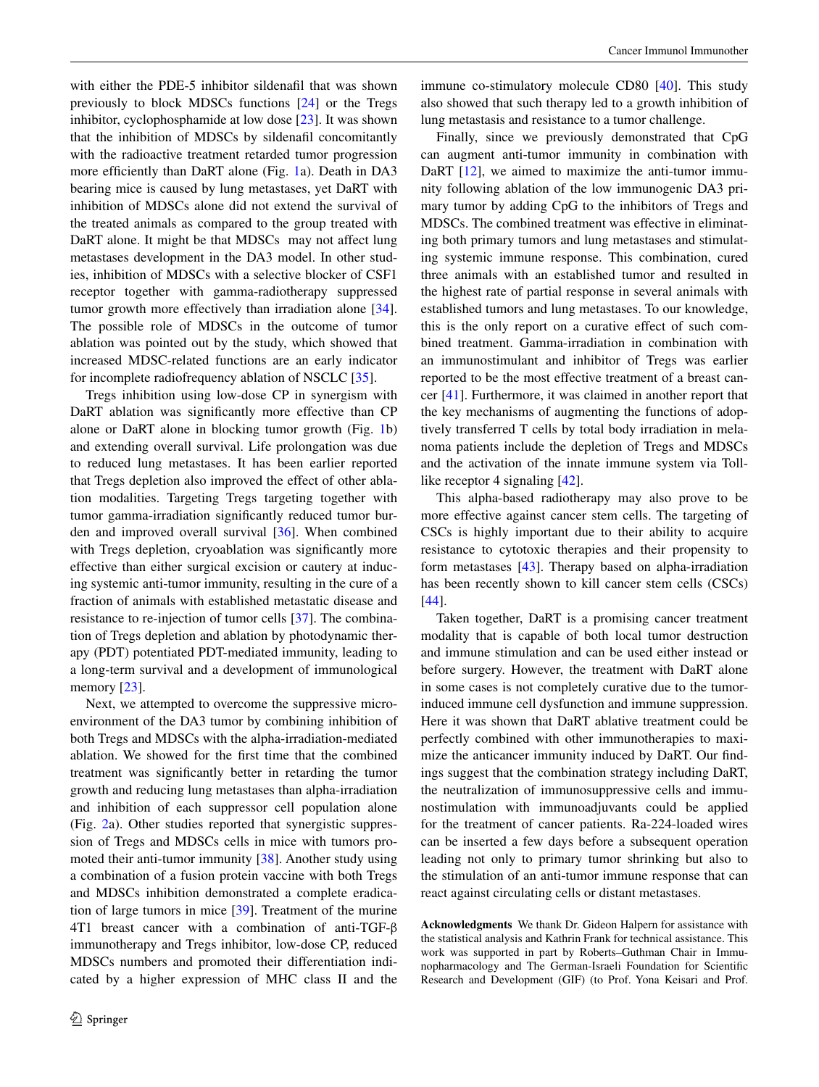with either the PDE-5 inhibitor sildenafil that was shown previously to block MDSCs functions [\[24](#page-8-20)] or the Tregs inhibitor, cyclophosphamide at low dose [\[23](#page-8-19)]. It was shown that the inhibition of MDSCs by sildenafil concomitantly with the radioactive treatment retarded tumor progression more efficiently than DaRT alone (Fig. [1](#page-3-0)a). Death in DA3 bearing mice is caused by lung metastases, yet DaRT with inhibition of MDSCs alone did not extend the survival of the treated animals as compared to the group treated with DaRT alone. It might be that MDSCs may not affect lung metastases development in the DA3 model. In other studies, inhibition of MDSCs with a selective blocker of CSF1 receptor together with gamma-radiotherapy suppressed tumor growth more effectively than irradiation alone [\[34](#page-8-30)]. The possible role of MDSCs in the outcome of tumor ablation was pointed out by the study, which showed that increased MDSC-related functions are an early indicator for incomplete radiofrequency ablation of NSCLC [[35\]](#page-8-31).

Tregs inhibition using low-dose CP in synergism with DaRT ablation was significantly more effective than CP alone or DaRT alone in blocking tumor growth (Fig. [1b](#page-3-0)) and extending overall survival. Life prolongation was due to reduced lung metastases. It has been earlier reported that Tregs depletion also improved the effect of other ablation modalities. Targeting Tregs targeting together with tumor gamma-irradiation significantly reduced tumor burden and improved overall survival [[36\]](#page-9-0). When combined with Tregs depletion, cryoablation was significantly more effective than either surgical excision or cautery at inducing systemic anti-tumor immunity, resulting in the cure of a fraction of animals with established metastatic disease and resistance to re-injection of tumor cells [[37\]](#page-9-1). The combination of Tregs depletion and ablation by photodynamic therapy (PDT) potentiated PDT-mediated immunity, leading to a long-term survival and a development of immunological memory [\[23](#page-8-19)].

Next, we attempted to overcome the suppressive microenvironment of the DA3 tumor by combining inhibition of both Tregs and MDSCs with the alpha-irradiation-mediated ablation. We showed for the first time that the combined treatment was significantly better in retarding the tumor growth and reducing lung metastases than alpha-irradiation and inhibition of each suppressor cell population alone (Fig. [2](#page-4-0)a). Other studies reported that synergistic suppression of Tregs and MDSCs cells in mice with tumors promoted their anti-tumor immunity [[38\]](#page-9-2). Another study using a combination of a fusion protein vaccine with both Tregs and MDSCs inhibition demonstrated a complete eradication of large tumors in mice [[39\]](#page-9-3). Treatment of the murine 4T1 breast cancer with a combination of anti-TGF-β immunotherapy and Tregs inhibitor, low-dose CP, reduced MDSCs numbers and promoted their differentiation indicated by a higher expression of MHC class II and the immune co-stimulatory molecule CD80 [[40\]](#page-9-4). This study also showed that such therapy led to a growth inhibition of lung metastasis and resistance to a tumor challenge.

Finally, since we previously demonstrated that CpG can augment anti-tumor immunity in combination with DaRT [\[12](#page-8-8)], we aimed to maximize the anti-tumor immunity following ablation of the low immunogenic DA3 primary tumor by adding CpG to the inhibitors of Tregs and MDSCs. The combined treatment was effective in eliminating both primary tumors and lung metastases and stimulating systemic immune response. This combination, cured three animals with an established tumor and resulted in the highest rate of partial response in several animals with established tumors and lung metastases. To our knowledge, this is the only report on a curative effect of such combined treatment. Gamma-irradiation in combination with an immunostimulant and inhibitor of Tregs was earlier reported to be the most effective treatment of a breast cancer [\[41](#page-9-5)]. Furthermore, it was claimed in another report that the key mechanisms of augmenting the functions of adoptively transferred T cells by total body irradiation in melanoma patients include the depletion of Tregs and MDSCs and the activation of the innate immune system via Tolllike receptor 4 signaling [[42\]](#page-9-6).

This alpha-based radiotherapy may also prove to be more effective against cancer stem cells. The targeting of CSCs is highly important due to their ability to acquire resistance to cytotoxic therapies and their propensity to form metastases [[43\]](#page-9-7). Therapy based on alpha-irradiation has been recently shown to kill cancer stem cells (CSCs) [\[44](#page-9-8)].

Taken together, DaRT is a promising cancer treatment modality that is capable of both local tumor destruction and immune stimulation and can be used either instead or before surgery. However, the treatment with DaRT alone in some cases is not completely curative due to the tumorinduced immune cell dysfunction and immune suppression. Here it was shown that DaRT ablative treatment could be perfectly combined with other immunotherapies to maximize the anticancer immunity induced by DaRT. Our findings suggest that the combination strategy including DaRT, the neutralization of immunosuppressive cells and immunostimulation with immunoadjuvants could be applied for the treatment of cancer patients. Ra-224-loaded wires can be inserted a few days before a subsequent operation leading not only to primary tumor shrinking but also to the stimulation of an anti-tumor immune response that can react against circulating cells or distant metastases.

**Acknowledgments** We thank Dr. Gideon Halpern for assistance with the statistical analysis and Kathrin Frank for technical assistance. This work was supported in part by Roberts–Guthman Chair in Immunopharmacology and The German-Israeli Foundation for Scientific Research and Development (GIF) (to Prof. Yona Keisari and Prof.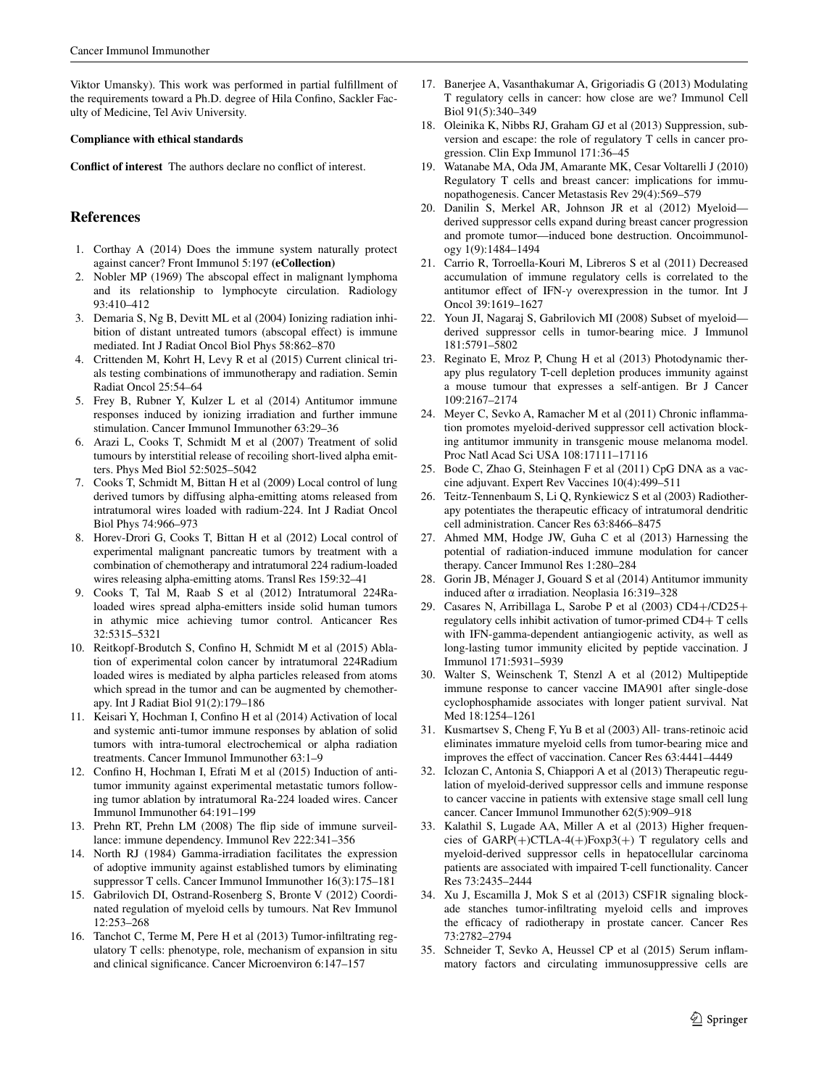Viktor Umansky). This work was performed in partial fulfillment of the requirements toward a Ph.D. degree of Hila Confino, Sackler Faculty of Medicine, Tel Aviv University.

#### **Compliance with ethical standards**

**Conflict of interest** The authors declare no conflict of interest.

#### **References**

- <span id="page-8-0"></span>1. Corthay A (2014) Does the immune system naturally protect against cancer? Front Immunol 5:197 **(eCollection)**
- <span id="page-8-1"></span>2. Nobler MP (1969) The abscopal effect in malignant lymphoma and its relationship to lymphocyte circulation. Radiology 93:410–412
- <span id="page-8-2"></span>3. Demaria S, Ng B, Devitt ML et al (2004) Ionizing radiation inhibition of distant untreated tumors (abscopal effect) is immune mediated. Int J Radiat Oncol Biol Phys 58:862–870
- <span id="page-8-3"></span>4. Crittenden M, Kohrt H, Levy R et al (2015) Current clinical trials testing combinations of immunotherapy and radiation. Semin Radiat Oncol 25:54–64
- <span id="page-8-4"></span>5. Frey B, Rubner Y, Kulzer L et al (2014) Antitumor immune responses induced by ionizing irradiation and further immune stimulation. Cancer Immunol Immunother 63:29–36
- <span id="page-8-5"></span>6. Arazi L, Cooks T, Schmidt M et al (2007) Treatment of solid tumours by interstitial release of recoiling short-lived alpha emitters. Phys Med Biol 52:5025–5042
- 7. Cooks T, Schmidt M, Bittan H et al (2009) Local control of lung derived tumors by diffusing alpha-emitting atoms released from intratumoral wires loaded with radium-224. Int J Radiat Oncol Biol Phys 74:966–973
- 8. Horev-Drori G, Cooks T, Bittan H et al (2012) Local control of experimental malignant pancreatic tumors by treatment with a combination of chemotherapy and intratumoral 224 radium-loaded wires releasing alpha-emitting atoms. Transl Res 159:32–41
- 9. Cooks T, Tal M, Raab S et al (2012) Intratumoral 224Raloaded wires spread alpha-emitters inside solid human tumors in athymic mice achieving tumor control. Anticancer Res 32:5315–5321
- <span id="page-8-6"></span>10. Reitkopf-Brodutch S, Confino H, Schmidt M et al (2015) Ablation of experimental colon cancer by intratumoral 224Radium loaded wires is mediated by alpha particles released from atoms which spread in the tumor and can be augmented by chemotherapy. Int J Radiat Biol 91(2):179–186
- <span id="page-8-7"></span>11. Keisari Y, Hochman I, Confino H et al (2014) Activation of local and systemic anti-tumor immune responses by ablation of solid tumors with intra-tumoral electrochemical or alpha radiation treatments. Cancer Immunol Immunother 63:1–9
- <span id="page-8-8"></span>12. Confino H, Hochman I, Efrati M et al (2015) Induction of antitumor immunity against experimental metastatic tumors following tumor ablation by intratumoral Ra-224 loaded wires. Cancer Immunol Immunother 64:191–199
- <span id="page-8-9"></span>13. Prehn RT, Prehn LM (2008) The flip side of immune surveillance: immune dependency. Immunol Rev 222:341–356
- <span id="page-8-10"></span>14. North RJ (1984) Gamma-irradiation facilitates the expression of adoptive immunity against established tumors by eliminating suppressor T cells. Cancer Immunol Immunother 16(3):175–181
- <span id="page-8-11"></span>15. Gabrilovich DI, Ostrand-Rosenberg S, Bronte V (2012) Coordinated regulation of myeloid cells by tumours. Nat Rev Immunol 12:253–268
- <span id="page-8-12"></span>16. Tanchot C, Terme M, Pere H et al (2013) Tumor-infiltrating regulatory T cells: phenotype, role, mechanism of expansion in situ and clinical significance. Cancer Microenviron 6:147–157
- <span id="page-8-13"></span>17. Banerjee A, Vasanthakumar A, Grigoriadis G (2013) Modulating T regulatory cells in cancer: how close are we? Immunol Cell Biol 91(5):340–349
- <span id="page-8-14"></span>18. Oleinika K, Nibbs RJ, Graham GJ et al (2013) Suppression, subversion and escape: the role of regulatory T cells in cancer progression. Clin Exp Immunol 171:36–45
- <span id="page-8-15"></span>19. Watanabe MA, Oda JM, Amarante MK, Cesar Voltarelli J (2010) Regulatory T cells and breast cancer: implications for immunopathogenesis. Cancer Metastasis Rev 29(4):569–579
- <span id="page-8-16"></span>20. Danilin S, Merkel AR, Johnson JR et al (2012) Myeloid derived suppressor cells expand during breast cancer progression and promote tumor—induced bone destruction. Oncoimmunology 1(9):1484–1494
- <span id="page-8-17"></span>21. Carrio R, Torroella-Kouri M, Libreros S et al (2011) Decreased accumulation of immune regulatory cells is correlated to the antitumor effect of IFN-γ overexpression in the tumor. Int J Oncol 39:1619–1627
- <span id="page-8-18"></span>22. Youn JI, Nagaraj S, Gabrilovich MI (2008) Subset of myeloid derived suppressor cells in tumor-bearing mice. J Immunol 181:5791–5802
- <span id="page-8-19"></span>23. Reginato E, Mroz P, Chung H et al (2013) Photodynamic therapy plus regulatory T-cell depletion produces immunity against a mouse tumour that expresses a self-antigen. Br J Cancer 109:2167–2174
- <span id="page-8-20"></span>24. Meyer C, Sevko A, Ramacher M et al (2011) Chronic inflammation promotes myeloid-derived suppressor cell activation blocking antitumor immunity in transgenic mouse melanoma model. Proc Natl Acad Sci USA 108:17111–17116
- <span id="page-8-21"></span>25. Bode C, Zhao G, Steinhagen F et al (2011) CpG DNA as a vaccine adjuvant. Expert Rev Vaccines 10(4):499–511
- <span id="page-8-22"></span>26. Teitz-Tennenbaum S, Li Q, Rynkiewicz S et al (2003) Radiotherapy potentiates the therapeutic efficacy of intratumoral dendritic cell administration. Cancer Res 63:8466–8475
- <span id="page-8-23"></span>27. Ahmed MM, Hodge JW, Guha C et al (2013) Harnessing the potential of radiation-induced immune modulation for cancer therapy. Cancer Immunol Res 1:280–284
- <span id="page-8-24"></span>28. Gorin JB, Ménager J, Gouard S et al (2014) Antitumor immunity induced after α irradiation. Neoplasia 16:319–328
- <span id="page-8-25"></span>29. Casares N, Arribillaga L, Sarobe P et al (2003) CD4+/CD25+ regulatory cells inhibit activation of tumor-primed CD4+ T cells with IFN-gamma-dependent antiangiogenic activity, as well as long-lasting tumor immunity elicited by peptide vaccination. J Immunol 171:5931–5939
- <span id="page-8-26"></span>30. Walter S, Weinschenk T, Stenzl A et al (2012) Multipeptide immune response to cancer vaccine IMA901 after single-dose cyclophosphamide associates with longer patient survival. Nat Med 18:1254–1261
- <span id="page-8-27"></span>31. Kusmartsev S, Cheng F, Yu B et al (2003) All- trans-retinoic acid eliminates immature myeloid cells from tumor-bearing mice and improves the effect of vaccination. Cancer Res 63:4441–4449
- <span id="page-8-28"></span>32. Iclozan C, Antonia S, Chiappori A et al (2013) Therapeutic regulation of myeloid-derived suppressor cells and immune response to cancer vaccine in patients with extensive stage small cell lung cancer. Cancer Immunol Immunother 62(5):909–918
- <span id="page-8-29"></span>33. Kalathil S, Lugade AA, Miller A et al (2013) Higher frequencies of GARP(+)CTLA-4(+)Foxp3(+) T regulatory cells and myeloid-derived suppressor cells in hepatocellular carcinoma patients are associated with impaired T-cell functionality. Cancer Res 73:2435–2444
- <span id="page-8-30"></span>34. Xu J, Escamilla J, Mok S et al (2013) CSF1R signaling blockade stanches tumor-infiltrating myeloid cells and improves the efficacy of radiotherapy in prostate cancer. Cancer Res 73:2782–2794
- <span id="page-8-31"></span>35. Schneider T, Sevko A, Heussel CP et al (2015) Serum inflammatory factors and circulating immunosuppressive cells are